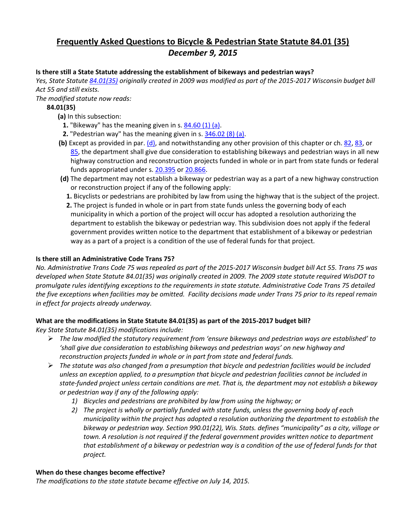# **Frequently Asked Questions to Bicycle & Pedestrian State Statute 84.01 (35)**  *December 9, 2015*

### **Is there still a State Statute addressing the establishment of bikeways and pedestrian ways?**

*Yes, State Statute [84.01\(35\)](http://docs.legis.wisconsin.gov/statutes/statutes/84/01/35) originally created in 2009 was modified as part of the 2015-2017 Wisconsin budget bill Act 55 and still exists.*

*The modified statute now reads:*

# **84.01(35)**

- **(a)** In this subsection:
	- **1.** "Bikeway" has the meaning given in s[. 84.60 \(1\) \(a\).](https://docs.legis.wisconsin.gov/document/statutes/84.60(1)(a))
	- **2.** "Pedestrian way" has the meaning given in s[. 346.02 \(8\) \(a\).](https://docs.legis.wisconsin.gov/document/statutes/346.02(8)(a))
- **(b)** Except as provided in par[. \(d\),](https://docs.legis.wisconsin.gov/document/statutes/84.01(35)(d)) and notwithstanding any other provision of this chapter or ch. [82,](https://docs.legis.wisconsin.gov/document/statutes/ch.%2082) [83,](https://docs.legis.wisconsin.gov/document/statutes/ch.%2083) or [85,](https://docs.legis.wisconsin.gov/document/statutes/ch.%2085) the department shall give due consideration to establishing bikeways and pedestrian ways in all new highway construction and reconstruction projects funded in whole or in part from state funds or federal funds appropriated under s. [20.395](https://docs.legis.wisconsin.gov/document/statutes/20.395) or [20.866.](https://docs.legis.wisconsin.gov/document/statutes/20.866)
- **(d)** The department may not establish a bikeway or pedestrian way as a part of a new highway construction or reconstruction project if any of the following apply:
	- **1.** Bicyclists or pedestrians are prohibited by law from using the highway that is the subject of the project.
	- **2.** The project is funded in whole or in part from state funds unless the governing body of each municipality in which a portion of the project will occur has adopted a resolution authorizing the department to establish the bikeway or pedestrian way. This subdivision does not apply if the federal government provides written notice to the department that establishment of a bikeway or pedestrian way as a part of a project is a condition of the use of federal funds for that project.

### **Is there still an Administrative Code Trans 75?**

*No. Administrative Trans Code 75 was repealed as part of the 2015-2017 Wisconsin budget bill Act 55. Trans 75 was developed when State Statute 84.01(35) was originally created in 2009. The 2009 state statute required WisDOT to promulgate rules identifying exceptions to the requirements in state statute. Administrative Code Trans 75 detailed the five exceptions when facilities may be omitted. Facility decisions made under Trans 75 prior to its repeal remain in effect for projects already underway.* 

# **What are the modifications in State Statute 84.01(35) as part of the 2015-2017 budget bill?**

*Key State Statute 84.01(35) modifications include:* 

- *The law modified the statutory requirement from 'ensure bikeways and pedestrian ways are established' to 'shall give due consideration to establishing bikeways and pedestrian ways' on new highway and reconstruction projects funded in whole or in part from state and federal funds.*
- *The statute was also changed from a presumption that bicycle and pedestrian facilities would be included unless an exception applied, to a presumption that bicycle and pedestrian facilities cannot be included in state-funded project unless certain conditions are met. That is, the department may not establish a bikeway or pedestrian way if any of the following apply:*
	- *1) Bicycles and pedestrians are prohibited by law from using the highway; or*
	- *2) The project is wholly or partially funded with state funds, unless the governing body of each municipality within the project has adopted a resolution authorizing the department to establish the bikeway or pedestrian way. Section 990.01(22), Wis. Stats. defines "municipality" as a city, village or town. A resolution is not required if the federal government provides written notice to department that establishment of a bikeway or pedestrian way is a condition of the use of federal funds for that project.*

#### **When do these changes become effective?**

*The modifications to the state statute became effective on July 14, 2015.*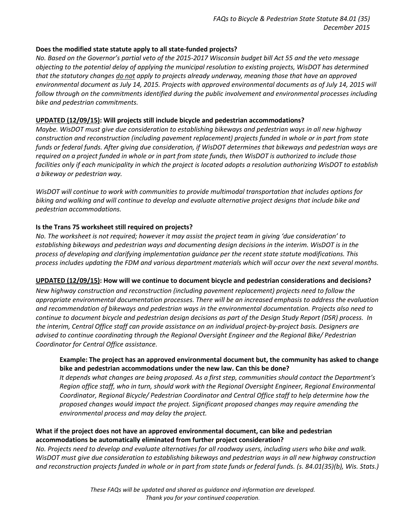# **Does the modified state statute apply to all state-funded projects?**

*No. Based on the Governor's partial veto of the 2015-2017 Wisconsin budget bill Act 55 and the veto message objecting to the potential delay of applying the municipal resolution to existing projects, WisDOT has determined that the statutory changes do not apply to projects already underway, meaning those that have an approved environmental document as July 14, 2015. Projects with approved environmental documents as of July 14, 2015 will follow through on the commitments identified during the public involvement and environmental processes including bike and pedestrian commitments.* 

### **UPDATED (12/09/15): Will projects still include bicycle and pedestrian accommodations?**

*Maybe. WisDOT must give due consideration to establishing bikeways and pedestrian ways in all new highway construction and reconstruction (including pavement replacement) projects funded in whole or in part from state funds or federal funds. After giving due consideration, if WisDOT determines that bikeways and pedestrian ways are required on a project funded in whole or in part from state funds, then WisDOT is authorized to include those facilities only if each municipality in which the project is located adopts a resolution authorizing WisDOT to establish a bikeway or pedestrian way.* 

*WisDOT will continue to work with communities to provide multimodal transportation that includes options for biking and walking and will continue to develop and evaluate alternative project designs that include bike and pedestrian accommodations.* 

# **Is the Trans 75 worksheet still required on projects?**

*No. The worksheet is not required; however it may assist the project team in giving 'due consideration' to establishing bikeways and pedestrian ways and documenting design decisions in the interim. WisDOT is in the process of developing and clarifying implementation guidance per the recent state statute modifications. This process includes updating the FDM and various department materials which will occur over the next several months.* 

#### **UPDATED (12/09/15): How will we continue to document bicycle and pedestrian considerations and decisions?**

*New highway construction and reconstruction (including pavement replacement) projects need to follow the appropriate environmental documentation processes. There will be an increased emphasis to address the evaluation and recommendation of bikeways and pedestrian ways in the environmental documentation. Projects also need to continue to document bicycle and pedestrian design decisions as part of the Design Study Report (DSR) process. In the interim, Central Office staff can provide assistance on an individual project-by-project basis. Designers are advised to continue coordinating through the Regional Oversight Engineer and the Regional Bike/ Pedestrian Coordinator for Central Office assistance.*

# **Example: The project has an approved environmental document but, the community has asked to change bike and pedestrian accommodations under the new law. Can this be done?**

*It depends what changes are being proposed. As a first step, communities should contact the Department's Region office staff, who in turn, should work with the Regional Oversight Engineer, Regional Environmental Coordinator, Regional Bicycle/ Pedestrian Coordinator and Central Office staff to help determine how the proposed changes would impact the project. Significant proposed changes may require amending the environmental process and may delay the project.* 

# **What if the project does not have an approved environmental document, can bike and pedestrian accommodations be automatically eliminated from further project consideration?**

*No. Projects need to develop and evaluate alternatives for all roadway users, including users who bike and walk. WisDOT must give due consideration to establishing bikeways and pedestrian ways in all new highway construction and reconstruction projects funded in whole or in part from state funds or federal funds. (s. 84.01(35)(b), Wis. Stats.)*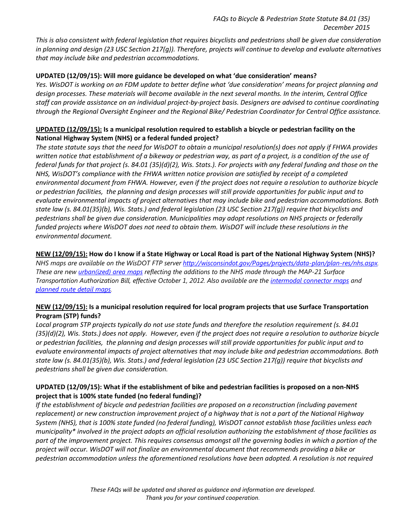*This is also consistent with federal legislation that requires bicyclists and pedestrians shall be given due consideration in planning and design (23 USC Section 217(g)). Therefore, projects will continue to develop and evaluate alternatives that may include bike and pedestrian accommodations.*

### **UPDATED (12/09/15): Will more guidance be developed on what 'due consideration' means?**

*Yes. WisDOT is working on an FDM update to better define what 'due consideration' means for project planning and design processes. These materials will become available in the next several months. In the interim, Central Office staff can provide assistance on an individual project-by-project basis. Designers are advised to continue coordinating through the Regional Oversight Engineer and the Regional Bike/ Pedestrian Coordinator for Central Office assistance.*

# **UPDATED (12/09/15): Is a municipal resolution required to establish a bicycle or pedestrian facility on the National Highway System (NHS) or a federal funded project?**

*The state statute says that the need for WisDOT to obtain a municipal resolution(s) does not apply if FHWA provides written notice that establishment of a bikeway or pedestrian way, as part of a project, is a condition of the use of federal funds for that project (s. 84.01 (35)(d)(2), Wis. Stats.). For projects with any federal funding and those on the NHS, WisDOT's compliance with the FHWA written notice provision are satisfied by receipt of a completed environmental document from FHWA. However, even if the project does not require a resolution to authorize bicycle or pedestrian facilities, the planning and design processes will still provide opportunities for public input and to evaluate environmental impacts of project alternatives that may include bike and pedestrian accommodations. Both state law (s. 84.01(35)(b), Wis. Stats.) and federal legislation (23 USC Section 217(g)) require that bicyclists and pedestrians shall be given due consideration. Municipalities may adopt resolutions on NHS projects or federally funded projects where WisDOT does not need to obtain them. WisDOT will include these resolutions in the environmental document.*

# **NEW (12/09/15): How do I know if a State Highway or Local Road is part of the National Highway System (NHS)?**

*NHS maps are available on the WisDOT FTP server [http://wisconsindot.gov/Pages/projects/data-plan/plan-res/nhs.aspx.](http://wisconsindot.gov/Pages/projects/data-plan/plan-res/nhs.aspx)  These are new [urban\(ized\) area maps](ftp://ftp.dot.wi.gov/dtim/bop/nhs) reflecting the additions to the NHS made through the MAP-21 Surface Transportation Authorization Bill, effective October 1, 2012. Also available are the [intermodal connector maps](ftp://ftp.dot.wi.gov/dtim/bop/nhs/Intermodal%20Connectors) and [planned route detail maps.](ftp://ftp.dot.wi.gov/dtim/bop/nhs/Planned-Relocation)* 

# **NEW (12/09/15): Is a municipal resolution required for local program projects that use Surface Transportation Program (STP) funds?**

*Local program STP projects typically do not use state funds and therefore the resolution requirement (s. 84.01 (35)(d)(2), Wis. Stats.) does not apply. However, even if the project does not require a resolution to authorize bicycle or pedestrian facilities, the planning and design processes will still provide opportunities for public input and to evaluate environmental impacts of project alternatives that may include bike and pedestrian accommodations. Both state law (s. 84.01(35)(b), Wis. Stats.) and federal legislation (23 USC Section 217(g)) require that bicyclists and pedestrians shall be given due consideration.*

# **UPDATED (12/09/15): What if the establishment of bike and pedestrian facilities is proposed on a non-NHS project that is 100% state funded (no federal funding)?**

*If the establishment of bicycle and pedestrian facilities are proposed on a reconstruction (including pavement replacement) or new construction improvement project of a highway that is not a part of the National Highway System (NHS), that is 100% state funded (no federal funding), WisDOT cannot establish those facilities unless each municipality\* involved in the project adopts an official resolution authorizing the establishment of those facilities as part of the improvement project. This requires consensus amongst all the governing bodies in which a portion of the project will occur. WisDOT will not finalize an environmental document that recommends providing a bike or pedestrian accommodation unless the aforementioned resolutions have been adopted. A resolution is not required*